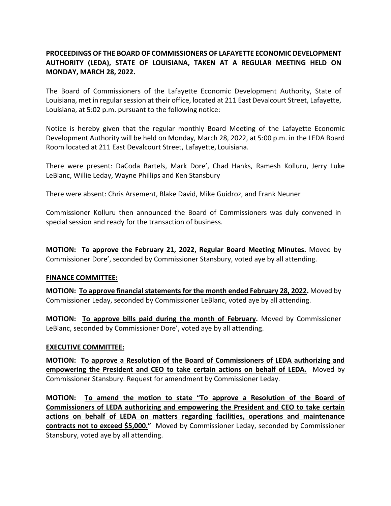## **PROCEEDINGS OF THE BOARD OF COMMISSIONERS OF LAFAYETTE ECONOMIC DEVELOPMENT AUTHORITY (LEDA), STATE OF LOUISIANA, TAKEN AT A REGULAR MEETING HELD ON MONDAY, MARCH 28, 2022.**

The Board of Commissioners of the Lafayette Economic Development Authority, State of Louisiana, met in regular session at their office, located at 211 East Devalcourt Street, Lafayette, Louisiana, at 5:02 p.m. pursuant to the following notice:

Notice is hereby given that the regular monthly Board Meeting of the Lafayette Economic Development Authority will be held on Monday, March 28, 2022, at 5:00 p.m. in the LEDA Board Room located at 211 East Devalcourt Street, Lafayette, Louisiana.

There were present: DaCoda Bartels, Mark Dore', Chad Hanks, Ramesh Kolluru, Jerry Luke LeBlanc, Willie Leday, Wayne Phillips and Ken Stansbury

There were absent: Chris Arsement, Blake David, Mike Guidroz, and Frank Neuner

Commissioner Kolluru then announced the Board of Commissioners was duly convened in special session and ready for the transaction of business.

**MOTION: To approve the February 21, 2022, Regular Board Meeting Minutes.** Moved by Commissioner Dore', seconded by Commissioner Stansbury, voted aye by all attending.

## **FINANCE COMMITTEE:**

**MOTION: To approve financial statements for the month ended February 28, 2022.** Moved by Commissioner Leday, seconded by Commissioner LeBlanc, voted aye by all attending.

**MOTION: To approve bills paid during the month of February.** Moved by Commissioner LeBlanc, seconded by Commissioner Dore', voted aye by all attending.

## **EXECUTIVE COMMITTEE:**

**MOTION: To approve a Resolution of the Board of Commissioners of LEDA authorizing and empowering the President and CEO to take certain actions on behalf of LEDA.** Moved by Commissioner Stansbury. Request for amendment by Commissioner Leday.

**MOTION: To amend the motion to state "To approve a Resolution of the Board of Commissioners of LEDA authorizing and empowering the President and CEO to take certain actions on behalf of LEDA on matters regarding facilities, operations and maintenance contracts not to exceed \$5,000."** Moved by Commissioner Leday, seconded by Commissioner Stansbury, voted aye by all attending.